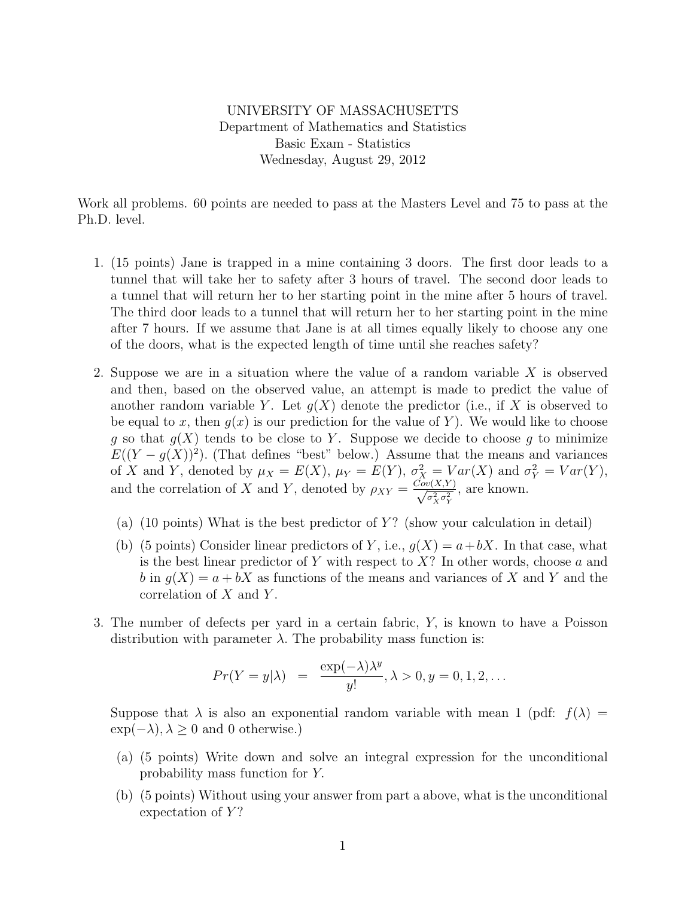UNIVERSITY OF MASSACHUSETTS Department of Mathematics and Statistics Basic Exam - Statistics Wednesday, August 29, 2012

Work all problems. 60 points are needed to pass at the Masters Level and 75 to pass at the Ph.D. level.

- 1. (15 points) Jane is trapped in a mine containing 3 doors. The first door leads to a tunnel that will take her to safety after 3 hours of travel. The second door leads to a tunnel that will return her to her starting point in the mine after 5 hours of travel. The third door leads to a tunnel that will return her to her starting point in the mine after 7 hours. If we assume that Jane is at all times equally likely to choose any one of the doors, what is the expected length of time until she reaches safety?
- 2. Suppose we are in a situation where the value of a random variable X is observed and then, based on the observed value, an attempt is made to predict the value of another random variable Y. Let  $q(X)$  denote the predictor (i.e., if X is observed to be equal to x, then  $g(x)$  is our prediction for the value of Y. We would like to choose g so that  $g(X)$  tends to be close to Y. Suppose we decide to choose g to minimize  $E((Y - g(X))^2)$ . (That defines "best" below.) Assume that the means and variances of X and Y, denoted by  $\mu_X = E(X)$ ,  $\mu_Y = E(Y)$ ,  $\sigma_X^2 = Var(X)$  and  $\sigma_Y^2 = Var(Y)$ , and the correlation of X and Y, denoted by  $\rho_{XY} = \frac{Cov(X,Y)}{\sqrt{Z-2}}$  $\sigma_X^2 \sigma_Y^2$ , are known.
	- (a) (10 points) What is the best predictor of  $Y$ ? (show your calculation in detail)
	- (b) (5 points) Consider linear predictors of Y, i.e.,  $g(X) = a + bX$ . In that case, what is the best linear predictor of Y with respect to  $X$ ? In other words, choose a and b in  $g(X) = a + bX$  as functions of the means and variances of X and Y and the correlation of  $X$  and  $Y$ .
- 3. The number of defects per yard in a certain fabric, Y, is known to have a Poisson distribution with parameter  $\lambda$ . The probability mass function is:

$$
Pr(Y = y | \lambda) = \frac{\exp(-\lambda)\lambda^y}{y!}, \lambda > 0, y = 0, 1, 2, ...
$$

Suppose that  $\lambda$  is also an exponential random variable with mean 1 (pdf:  $f(\lambda) =$  $\exp(-\lambda), \lambda \geq 0$  and 0 otherwise.)

- (a) (5 points) Write down and solve an integral expression for the unconditional probability mass function for Y.
- (b) (5 points) Without using your answer from part a above, what is the unconditional expectation of  $Y$ ?